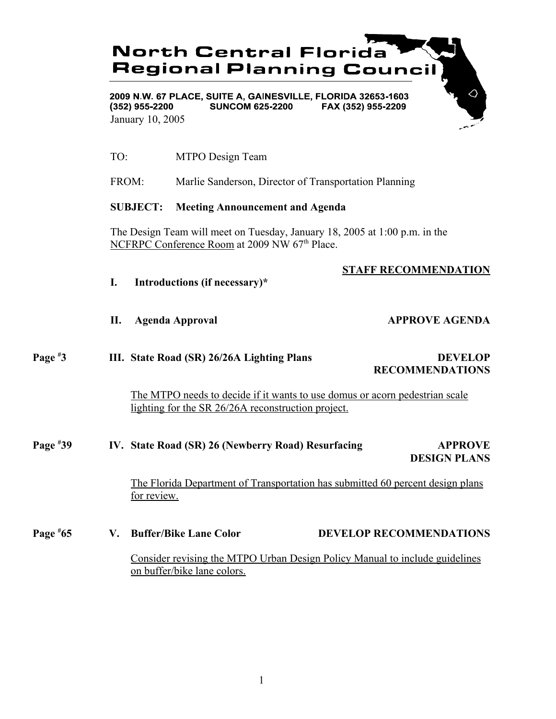# **North Central Florida Regional Planning Council**

2009 N.W. 67 PLACE, SUITE A, GAINESVILLE, FLORIDA 32653-1603  $(352)$  955-2200 **SUNCOM 625-2200** FAX (352) 955-2209 January 10, 2005

- TO: MTPO Design Team
- FROM: Marlie Sanderson, Director of Transportation Planning

### **SUBJECT: Meeting Announcement and Agenda**

The Design Team will meet on Tuesday, January 18, 2005 at 1:00 p.m. in the NCFRPC Conference Room at 2009 NW 67<sup>th</sup> Place.

### **STAFF RECOMMENDATION**

- **I. Introductions (if necessary)\***
- 

#### **II.** Agenda Approval **APPROVE AGENDA**

**Page # III.** State Road (SR) 26/26A Lighting Plans DEVELOP  **RECOMMENDATIONS**

> The MTPO needs to decide if it wants to use domus or acorn pedestrian scale lighting for the SR 26/26A reconstruction project.

#### **Page # 39 IV. State Road (SR) 26 (Newberry Road) Resurfacing APPROVE DESIGN PLANS**

The Florida Department of Transportation has submitted 60 percent design plans for review.

**Page #** V. Buffer/Bike Lane Color **DEVELOP RECOMMENDATIONS** 

> Consider revising the MTPO Urban Design Policy Manual to include guidelines on buffer/bike lane colors.